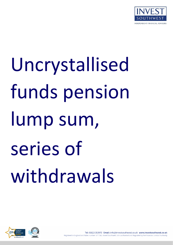

# Uncrystallised funds pension lump sum, series of withdrawals



Tel: 01823 353970 Email: info@investsouthwest.co.uk www.investsouthwest.co.uk Registered in England and Wales number: 5771562, Invest Southwest Ltd is authorised and Regulated by the Financial Conduct Authority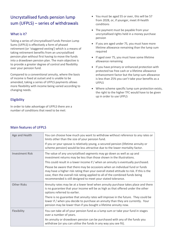# Uncrystallised funds pension lump sum (UFPLS) – series of withdrawals

### What is it?

Taking a series of Uncrystallised Funds Pension Lump Sums (UFPLS) is effectively a form of phased retirement (or 'staggered vesting') which is a means of taking retirement benefits from an uncrystallised pension plan without first having to move the funds into a drawdown pension plan. The main objective is to provide a greater degree of control and flexibility over your pension fund.

Compared to a conventional annuity, where the basis of income is fixed at outset and is unable to be amended, taking a series of UFPLS payments allows more flexibility with income being varied according to changing needs.

### Eligibility

In order to take advantage of UFPLS there are a number of conditions that need to be met:

- You must be aged 55 or over, this will be 57 from 2028, or, if younger, meet ill-health conditions
- The payment must be payable from your uncrystallised rights held in a money purchase pension
- If you are aged under 75, you must have more lifetime allowance remaining than the lump sum required
- If aged over 75, you must have some lifetime allowance remaining
- If you have primary or enhanced protection with protected tax free cash or a lifetime allowance enhancement factor but the lump sum allowance is less than 25% you can't take your benefits as a UFPLS
- Where scheme specific lump sum protection exists, the right to the higher TFC would have to be given up in order to use UFPLS

| Age and Health         | You can choose how much you want to withdraw without reference to any rates or<br>limits other than the size of your pension fund.                                                                                                                                                                                       |
|------------------------|--------------------------------------------------------------------------------------------------------------------------------------------------------------------------------------------------------------------------------------------------------------------------------------------------------------------------|
|                        | If you or your spouse is relatively young, a secured pension (lifetime annuity or<br>scheme pension) would be less attractive due to the lower mortality factor.                                                                                                                                                         |
| <b>Investment Risk</b> | The value of any uncrystallised segments may go down as well as up and<br>investment returns may be less than those shown in the illustrations.                                                                                                                                                                          |
|                        | This could result in a lower income if / when an annuity is eventually purchased.                                                                                                                                                                                                                                        |
|                        | Please be aware that there may be occasions when an individual fund or funds<br>may have a higher risk rating than your overall stated attitude to risk. If this is the<br>case, then the overall risk rating applied to all of the combined funds being<br>recommended is still designed to meet your stated tolerance. |
| <b>Other Risks</b>     | Annuity rates may be at a lower level when annuity purchase takes place and there<br>is no guarantee that your income will be as high as that offered under the other<br>options referred to earlier.                                                                                                                    |
|                        | There is no guarantee that annuity rates will improve in the future. They could be<br>lower if / when you decide to purchase an annuity than they are currently. Your<br>pension may be lower than if you bought a lifetime annuity now.                                                                                 |
| Flexibility            | You can take all of your pension fund as a lump sum or take your fund in stages<br>over a number of years.                                                                                                                                                                                                               |
|                        | An annuity or drawdown pension can be purchased with any of the funds you<br>withdraw (or you can utilise the funds in any way you see fit).                                                                                                                                                                             |

## Main features of UFPLS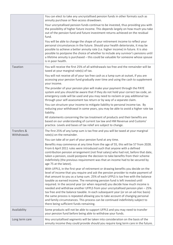|                            | You can elect to take any uncrystallised pension funds in other formats such as<br>annuity purchase or flexi-access drawdown.                                                                                                                                                                                                                                                                                                                                                                                                                                                                                                                                                                                                                                                                                   |
|----------------------------|-----------------------------------------------------------------------------------------------------------------------------------------------------------------------------------------------------------------------------------------------------------------------------------------------------------------------------------------------------------------------------------------------------------------------------------------------------------------------------------------------------------------------------------------------------------------------------------------------------------------------------------------------------------------------------------------------------------------------------------------------------------------------------------------------------------------|
|                            | Your uncrystallised pension funds continue to be invested, thus providing you with<br>the possibility of higher future income. This depends largely on how much you take<br>out of the pension fund and future investment returns achieved on the residual<br>fund.                                                                                                                                                                                                                                                                                                                                                                                                                                                                                                                                             |
|                            | You will be able to change the shape of your retirement income to reflect your<br>personal circumstances in the future. Should your health deteriorate, it may be<br>possible to achieve a better annuity rate (i.e. higher income) in future. It is also<br>possible to postpone the choice of whether to include any survivor's pensions until<br>a lifetime annuity is purchased - this could be valuable for someone whose spouse<br>is in poor health.                                                                                                                                                                                                                                                                                                                                                     |
| Taxation                   | You will receive the first 25% of all withdrawals tax free and the remainder will be<br>taxed at your marginal rate(s) of tax.                                                                                                                                                                                                                                                                                                                                                                                                                                                                                                                                                                                                                                                                                  |
|                            | You will not receive all of your tax free cash as a lump sum at outset, if you are<br>accessing your pension fund gradually over time and using the cash to supplement<br>your income.                                                                                                                                                                                                                                                                                                                                                                                                                                                                                                                                                                                                                          |
|                            | The provider of your pension plan will make your payment through the PAYE<br>system and you should be aware that if they do not hold your correct tax code, an<br>emergency code will be used and you may need to reclaim or pay additional tax<br>through your self-assessment tax return or by way of a separate claim.                                                                                                                                                                                                                                                                                                                                                                                                                                                                                       |
|                            | You can structure your income to mitigate liability to personal income tax. By<br>reducing your withdrawal in some years, you may be able to avoid a higher rate tax<br>liability.                                                                                                                                                                                                                                                                                                                                                                                                                                                                                                                                                                                                                              |
|                            | All statements concerning the tax treatment of products and their benefits are<br>based on our understanding of current tax law and HM Revenue and Customs'<br>practice. Levels and bases of tax relief are subject to change.                                                                                                                                                                                                                                                                                                                                                                                                                                                                                                                                                                                  |
| Transfers &<br>Withdrawals | The first 25% of any lump sum is tax free and you will be taxed at your marginal<br>rate(s) on the remainder.                                                                                                                                                                                                                                                                                                                                                                                                                                                                                                                                                                                                                                                                                                   |
|                            | You can take all or part of your pension fund at any time.                                                                                                                                                                                                                                                                                                                                                                                                                                                                                                                                                                                                                                                                                                                                                      |
|                            | Benefits may commence at any time from the age of 55, this will be 57 from 2028.<br>From 6 April 2011 rules were introduced such that anyone with a defined<br>contribution pension arrangement (not final salary) who had not, before that date,<br>taken a pension, could postpone the decision to take benefits from their scheme<br>indefinitely (the previous requirement was that an income had to be secured by<br>age 75 at the latest).                                                                                                                                                                                                                                                                                                                                                                |
|                            | With UFPLS, in the first year of retirement or drawing benefits you decide on the<br>level of income that you require and ask the pension provider to make payment of<br>that amount to you as a lump sum. 25% of each UFPLS is tax free with the balance<br>taxable as earned income. The remaining pension fund is left invested until<br>required. In the second year (or when required) you decide how much income is<br>needed and withdraw another UFPLS from your uncrystallised pension plan - 25%<br>tax free and the balance taxable. In each subsequent year (or on an ad-hoc basis)<br>the same process is repeated allowing you to take account of changing personal<br>and family circumstances. This process can be continued indefinitely subject to<br>there being sufficient funds remaining. |
| Availability               | Some products will not be able to support UFPLS and you may need to transfer<br>your pension fund before being able to withdraw your funds.                                                                                                                                                                                                                                                                                                                                                                                                                                                                                                                                                                                                                                                                     |
| Long term care             | Any uncrystallised segments will be taken into consideration on the basis of the<br>annuity income they could provide should you require long term care in the future.                                                                                                                                                                                                                                                                                                                                                                                                                                                                                                                                                                                                                                          |